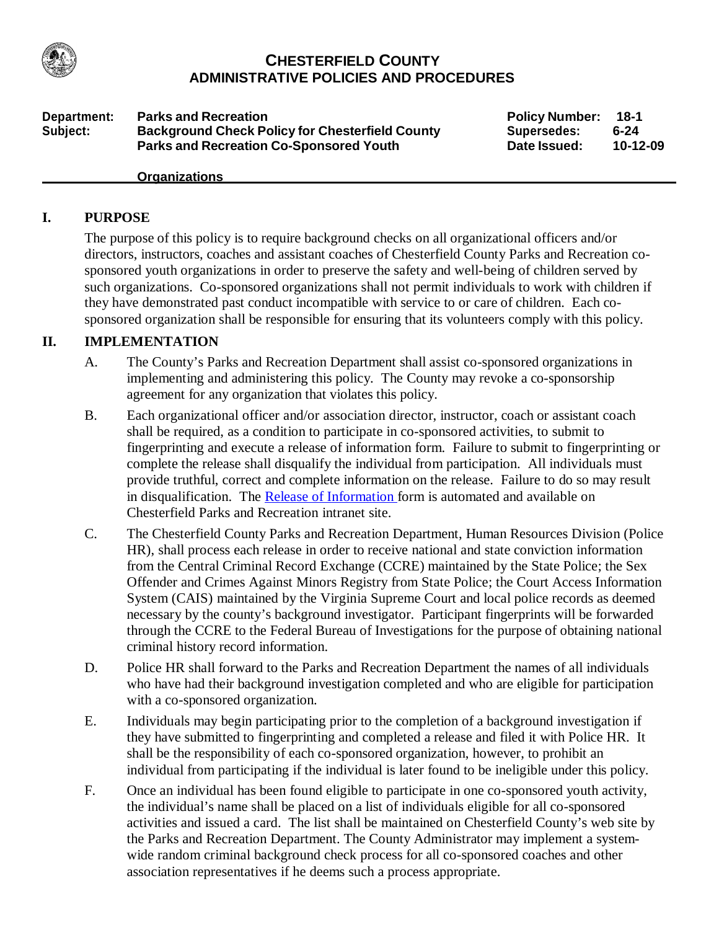

#### **CHESTERFIELD COUNTY ADMINISTRATIVE POLICIES AND PROCEDURES**

**Department:** Parks and Recreation **Policy Policy Number: 18-1 Subject: Background Check Policy for Chesterfield County Parks and Recreation Co-Sponsored Youth**

**Supersedes: Date Issued: 6-24 10-12-09**

#### **Organizations**

#### **I. PURPOSE**

The purpose of this policy is to require background checks on all organizational officers and/or directors, instructors, coaches and assistant coaches of Chesterfield County Parks and Recreation cosponsored youth organizations in order to preserve the safety and well-being of children served by such organizations. Co-sponsored organizations shall not permit individuals to work with children if they have demonstrated past conduct incompatible with service to or care of children. Each cosponsored organization shall be responsible for ensuring that its volunteers comply with this policy.

#### **II. IMPLEMENTATION**

- A. The County's Parks and Recreation Department shall assist co-sponsored organizations in implementing and administering this policy. The County may revoke a co-sponsorship agreement for any organization that violates this policy.
- B. Each organizational officer and/or association director, instructor, coach or assistant coach shall be required, as a condition to participate in co-sponsored activities, to submit to fingerprinting and execute a release of information form. Failure to submit to fingerprinting or complete the release shall disqualify the individual from participation. All individuals must provide truthful, correct and complete information on the release. Failure to do so may result in disqualification. The Release of Information form is automated and available on Chesterfield Parks and Recreation intranet site.
- C. The Chesterfield County Parks and Recreation Department, Human Resources Division (Police HR), shall process each release in order to receive national and state conviction information from the Central Criminal Record Exchange (CCRE) maintained by the State Police; the Sex Offender and Crimes Against Minors Registry from State Police; the Court Access Information System (CAIS) maintained by the Virginia Supreme Court and local police records as deemed necessary by the county's background investigator. Participant fingerprints will be forwarded through the CCRE to the Federal Bureau of Investigations for the purpose of obtaining national criminal history record information.
- D. Police HR shall forward to the Parks and Recreation Department the names of all individuals who have had their background investigation completed and who are eligible for participation with a co-sponsored organization.
- E. Individuals may begin participating prior to the completion of a background investigation if they have submitted to fingerprinting and completed a release and filed it with Police HR. It shall be the responsibility of each co-sponsored organization, however, to prohibit an individual from participating if the individual is later found to be ineligible under this policy.
- F. Once an individual has been found eligible to participate in one co-sponsored youth activity, the individual's name shall be placed on a list of individuals eligible for all co-sponsored activities and issued a card. The list shall be maintained on Chesterfield County's web site by the Parks and Recreation Department. The County Administrator may implement a systemwide random criminal background check process for all co-sponsored coaches and other association representatives if he deems such a process appropriate.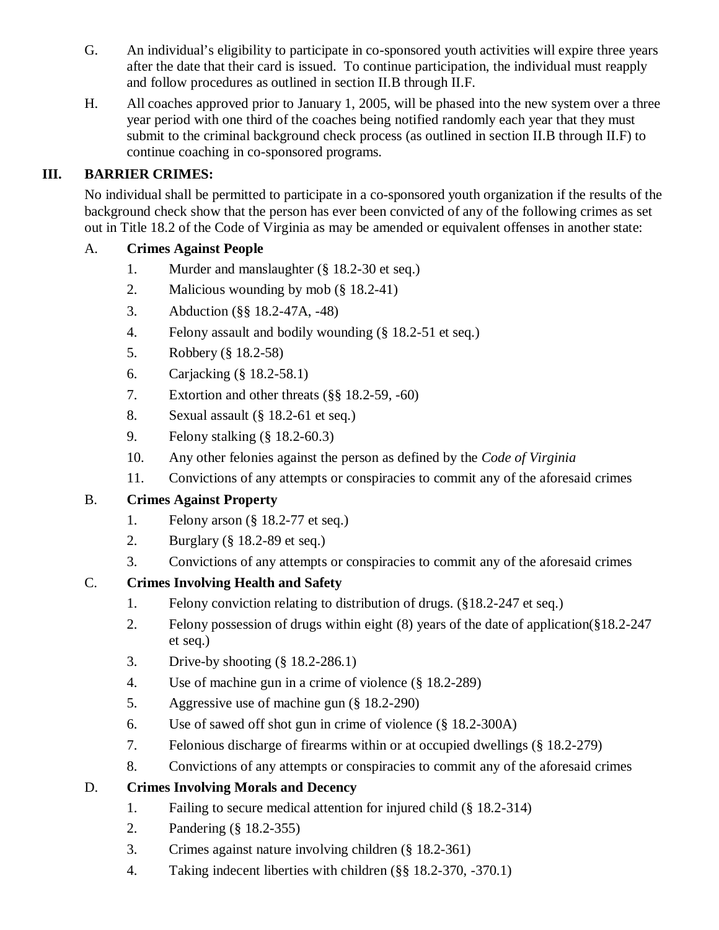- G. An individual's eligibility to participate in co-sponsored youth activities will expire three years after the date that their card is issued. To continue participation, the individual must reapply and follow procedures as outlined in section II.B through II.F.
- H. All coaches approved prior to January 1, 2005, will be phased into the new system over a three year period with one third of the coaches being notified randomly each year that they must submit to the criminal background check process (as outlined in section II.B through II.F) to continue coaching in co-sponsored programs.

## **III. BARRIER CRIMES:**

No individual shall be permitted to participate in a co-sponsored youth organization if the results of the background check show that the person has ever been convicted of any of the following crimes as set out in Title 18.2 of the Code of Virginia as may be amended or equivalent offenses in another state:

#### A. **Crimes Against People**

- 1. Murder and manslaughter (§ 18.2-30 et seq.)
- 2. Malicious wounding by mob (§ 18.2-41)
- 3. Abduction (§§ 18.2-47A, -48)
- 4. Felony assault and bodily wounding (§ 18.2-51 et seq.)
- 5. Robbery (§ 18.2-58)
- 6. Carjacking (§ 18.2-58.1)
- 7. Extortion and other threats (§§ 18.2-59, -60)
- 8. Sexual assault (§ 18.2-61 et seq.)
- 9. Felony stalking (§ 18.2-60.3)
- 10. Any other felonies against the person as defined by the *Code of Virginia*
- 11. Convictions of any attempts or conspiracies to commit any of the aforesaid crimes

## B. **Crimes Against Property**

- 1. Felony arson (§ 18.2-77 et seq.)
- 2. Burglary (§ 18.2-89 et seq.)
- 3. Convictions of any attempts or conspiracies to commit any of the aforesaid crimes

## C. **Crimes Involving Health and Safety**

- 1. Felony conviction relating to distribution of drugs. (§18.2-247 et seq.)
- 2. Felony possession of drugs within eight (8) years of the date of application(§18.2-247 et seq.)
- 3. Drive-by shooting (§ 18.2-286.1)
- 4. Use of machine gun in a crime of violence (§ 18.2-289)
- 5. Aggressive use of machine gun (§ 18.2-290)
- 6. Use of sawed off shot gun in crime of violence (§ 18.2-300A)
- 7. Felonious discharge of firearms within or at occupied dwellings (§ 18.2-279)
- 8. Convictions of any attempts or conspiracies to commit any of the aforesaid crimes

## D. **Crimes Involving Morals and Decency**

- 1. Failing to secure medical attention for injured child (§ 18.2-314)
- 2. Pandering (§ 18.2-355)
- 3. Crimes against nature involving children (§ 18.2-361)
- 4. Taking indecent liberties with children (§§ 18.2-370, -370.1)